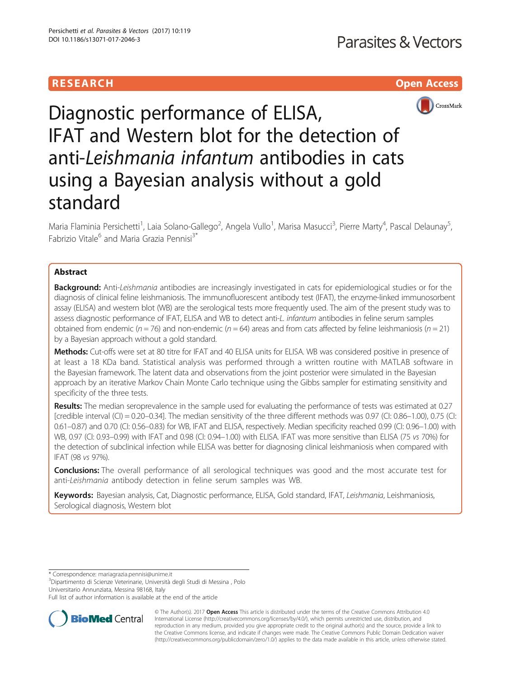# RESEARCH **RESEARCH CHOOSE ACCESS**



Diagnostic performance of ELISA, IFAT and Western blot for the detection of anti-Leishmania infantum antibodies in cats using a Bayesian analysis without a gold standard

Maria Flaminia Persichetti<sup>1</sup>, Laia Solano-Gallego<sup>2</sup>, Angela Vullo<sup>1</sup>, Marisa Masucci<sup>3</sup>, Pierre Marty<sup>4</sup>, Pascal Delaunay<sup>5</sup> , Fabrizio Vitale<sup>6</sup> and Maria Grazia Pennisi<sup>3\*</sup>

# Abstract

**Background:** Anti-Leishmania antibodies are increasingly investigated in cats for epidemiological studies or for the diagnosis of clinical feline leishmaniosis. The immunofluorescent antibody test (IFAT), the enzyme-linked immunosorbent assay (ELISA) and western blot (WB) are the serological tests more frequently used. The aim of the present study was to assess diagnostic performance of IFAT, ELISA and WB to detect anti-L. infantum antibodies in feline serum samples obtained from endemic ( $n = 76$ ) and non-endemic ( $n = 64$ ) areas and from cats affected by feline leishmaniosis ( $n = 21$ ) by a Bayesian approach without a gold standard.

Methods: Cut-offs were set at 80 titre for IFAT and 40 ELISA units for ELISA. WB was considered positive in presence of at least a 18 KDa band. Statistical analysis was performed through a written routine with MATLAB software in the Bayesian framework. The latent data and observations from the joint posterior were simulated in the Bayesian approach by an iterative Markov Chain Monte Carlo technique using the Gibbs sampler for estimating sensitivity and specificity of the three tests.

Results: The median seroprevalence in the sample used for evaluating the performance of tests was estimated at 0.27 [credible interval  $(CI) = 0.20 - 0.34$ ]. The median sensitivity of the three different methods was 0.97  $(CI: 0.86 - 1.00)$ , 0.75  $(CI: 0.86 - 1.00)$ 0.61–0.87) and 0.70 (CI: 0.56–0.83) for WB, IFAT and ELISA, respectively. Median specificity reached 0.99 (CI: 0.96–1.00) with WB, 0.97 (CI: 0.93–0.99) with IFAT and 0.98 (CI: 0.94–1.00) with ELISA. IFAT was more sensitive than ELISA (75 vs 70%) for the detection of subclinical infection while ELISA was better for diagnosing clinical leishmaniosis when compared with IFAT (98 vs 97%).

**Conclusions:** The overall performance of all serological techniques was good and the most accurate test for anti-Leishmania antibody detection in feline serum samples was WB.

Keywords: Bayesian analysis, Cat, Diagnostic performance, ELISA, Gold standard, IFAT, Leishmania, Leishmaniosis, Serological diagnosis, Western blot

\* Correspondence: [mariagrazia.pennisi@unime.it](mailto:mariagrazia.pennisi@unime.it) <sup>3</sup>

 $3$ Dipartimento di Scienze Veterinarie, Università degli Studi di Messina, Polo Universitario Annunziata, Messina 98168, Italy

Full list of author information is available at the end of the article



© The Author(s). 2017 **Open Access** This article is distributed under the terms of the Creative Commons Attribution 4.0 International License [\(http://creativecommons.org/licenses/by/4.0/](http://creativecommons.org/licenses/by/4.0/)), which permits unrestricted use, distribution, and reproduction in any medium, provided you give appropriate credit to the original author(s) and the source, provide a link to the Creative Commons license, and indicate if changes were made. The Creative Commons Public Domain Dedication waiver [\(http://creativecommons.org/publicdomain/zero/1.0/](http://creativecommons.org/publicdomain/zero/1.0/)) applies to the data made available in this article, unless otherwise stated.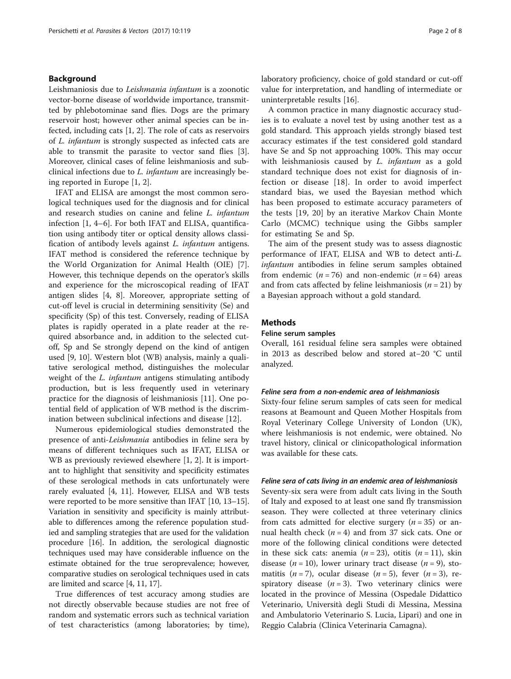### Background

Leishmaniosis due to Leishmania infantum is a zoonotic vector-borne disease of worldwide importance, transmitted by phlebotominae sand flies. Dogs are the primary reservoir host; however other animal species can be infected, including cats [\[1](#page-6-0), [2](#page-6-0)]. The role of cats as reservoirs of L. infantum is strongly suspected as infected cats are able to transmit the parasite to vector sand flies [\[3](#page-6-0)]. Moreover, clinical cases of feline leishmaniosis and subclinical infections due to L. infantum are increasingly being reported in Europe [\[1](#page-6-0), [2](#page-6-0)].

IFAT and ELISA are amongst the most common serological techniques used for the diagnosis and for clinical and research studies on canine and feline L. infantum infection [\[1](#page-6-0), [4](#page-6-0)–[6](#page-6-0)]. For both IFAT and ELISA, quantification using antibody titer or optical density allows classification of antibody levels against L. infantum antigens. IFAT method is considered the reference technique by the World Organization for Animal Health (OIE) [\[7](#page-6-0)]. However, this technique depends on the operator's skills and experience for the microscopical reading of IFAT antigen slides [[4, 8](#page-6-0)]. Moreover, appropriate setting of cut-off level is crucial in determining sensitivity (Se) and specificity (Sp) of this test. Conversely, reading of ELISA plates is rapidly operated in a plate reader at the required absorbance and, in addition to the selected cutoff, Sp and Se strongly depend on the kind of antigen used [[9, 10\]](#page-6-0). Western blot (WB) analysis, mainly a qualitative serological method, distinguishes the molecular weight of the *L. infantum* antigens stimulating antibody production, but is less frequently used in veterinary practice for the diagnosis of leishmaniosis [\[11\]](#page-6-0). One potential field of application of WB method is the discrimination between subclinical infections and disease [\[12](#page-6-0)].

Numerous epidemiological studies demonstrated the presence of anti-Leishmania antibodies in feline sera by means of different techniques such as IFAT, ELISA or WB as previously reviewed elsewhere [[1, 2\]](#page-6-0). It is important to highlight that sensitivity and specificity estimates of these serological methods in cats unfortunately were rarely evaluated [\[4](#page-6-0), [11\]](#page-6-0). However, ELISA and WB tests were reported to be more sensitive than IFAT [[10](#page-6-0), [13](#page-6-0)–[15](#page-6-0)]. Variation in sensitivity and specificity is mainly attributable to differences among the reference population studied and sampling strategies that are used for the validation procedure [\[16](#page-6-0)]. In addition, the serological diagnostic techniques used may have considerable influence on the estimate obtained for the true seroprevalence; however, comparative studies on serological techniques used in cats are limited and scarce [[4, 11, 17](#page-6-0)].

True differences of test accuracy among studies are not directly observable because studies are not free of random and systematic errors such as technical variation of test characteristics (among laboratories; by time), laboratory proficiency, choice of gold standard or cut-off value for interpretation, and handling of intermediate or uninterpretable results [\[16](#page-6-0)].

A common practice in many diagnostic accuracy studies is to evaluate a novel test by using another test as a gold standard. This approach yields strongly biased test accuracy estimates if the test considered gold standard have Se and Sp not approaching 100%. This may occur with leishmaniosis caused by *L. infantum* as a gold standard technique does not exist for diagnosis of infection or disease [\[18](#page-6-0)]. In order to avoid imperfect standard bias, we used the Bayesian method which has been proposed to estimate accuracy parameters of the tests [[19, 20](#page-6-0)] by an iterative Markov Chain Monte Carlo (MCMC) technique using the Gibbs sampler for estimating Se and Sp.

The aim of the present study was to assess diagnostic performance of IFAT, ELISA and WB to detect anti-L. infantum antibodies in feline serum samples obtained from endemic ( $n = 76$ ) and non-endemic ( $n = 64$ ) areas and from cats affected by feline leishmaniosis  $(n = 21)$  by a Bayesian approach without a gold standard.

### **Methods**

### Feline serum samples

Overall, 161 residual feline sera samples were obtained in 2013 as described below and stored at−20 °C until analyzed.

#### Feline sera from a non-endemic area of leishmaniosis

Sixty-four feline serum samples of cats seen for medical reasons at Beamount and Queen Mother Hospitals from Royal Veterinary College University of London (UK), where leishmaniosis is not endemic, were obtained. No travel history, clinical or clinicopathological information was available for these cats.

#### Feline sera of cats living in an endemic area of leishmaniosis

Seventy-six sera were from adult cats living in the South of Italy and exposed to at least one sand fly transmission season. They were collected at three veterinary clinics from cats admitted for elective surgery  $(n = 35)$  or annual health check  $(n = 4)$  and from 37 sick cats. One or more of the following clinical conditions were detected in these sick cats: anemia ( $n = 23$ ), otitis ( $n = 11$ ), skin disease ( $n = 10$ ), lower urinary tract disease ( $n = 9$ ), stomatitis (*n* = 7), ocular disease (*n* = 5), fever (*n* = 3), respiratory disease  $(n = 3)$ . Two veterinary clinics were located in the province of Messina (Ospedale Didattico Veterinario, Università degli Studi di Messina, Messina and Ambulatorio Veterinario S. Lucia, Lipari) and one in Reggio Calabria (Clinica Veterinaria Camagna).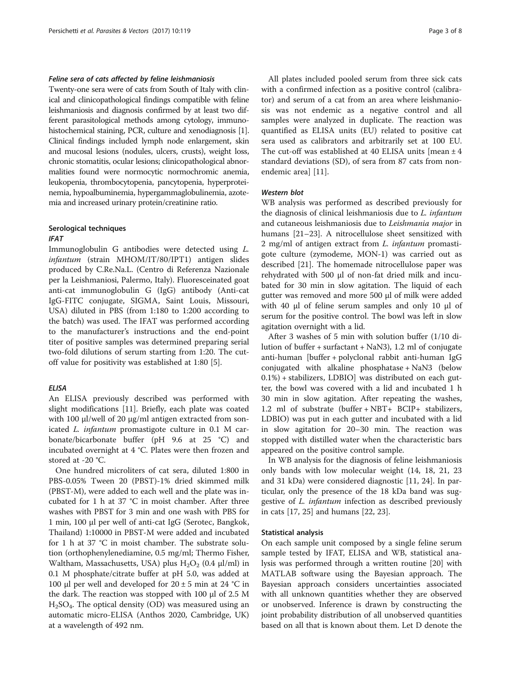### Feline sera of cats affected by feline leishmaniosis

Twenty-one sera were of cats from South of Italy with clinical and clinicopathological findings compatible with feline leishmaniosis and diagnosis confirmed by at least two different parasitological methods among cytology, immunohistochemical staining, PCR, culture and xenodiagnosis [[1](#page-6-0)]. Clinical findings included lymph node enlargement, skin and mucosal lesions (nodules, ulcers, crusts), weight loss, chronic stomatitis, ocular lesions; clinicopathological abnormalities found were normocytic normochromic anemia, leukopenia, thrombocytopenia, pancytopenia, hyperproteinemia, hypoalbuminemia, hypergammaglobulinemia, azotemia and increased urinary protein/creatinine ratio.

### Serological techniques IFAT

Immunoglobulin G antibodies were detected using L. infantum (strain MHOM/IT/80/IPT1) antigen slides produced by C.Re.Na.L. (Centro di Referenza Nazionale per la Leishmaniosi, Palermo, Italy). Fluoresceinated goat anti-cat immunoglobulin G (IgG) antibody (Anti-cat IgG-FITC conjugate, SIGMA, Saint Louis, Missouri, USA) diluted in PBS (from 1:180 to 1:200 according to the batch) was used. The IFAT was performed according to the manufacturer's instructions and the end-point titer of positive samples was determined preparing serial two-fold dilutions of serum starting from 1:20. The cutoff value for positivity was established at 1:80 [[5\]](#page-6-0).

### **ELISA**

An ELISA previously described was performed with slight modifications [[11\]](#page-6-0). Briefly, each plate was coated with 100 μl/well of 20 μg/ml antigen extracted from sonicated L. infantum promastigote culture in 0.1 M carbonate/bicarbonate buffer (pH 9.6 at 25 °C) and incubated overnight at 4 °C. Plates were then frozen and stored at -20 °C.

One hundred microliters of cat sera, diluted 1:800 in PBS-0.05% Tween 20 (PBST)-1% dried skimmed milk (PBST-M), were added to each well and the plate was incubated for 1 h at 37 °C in moist chamber. After three washes with PBST for 3 min and one wash with PBS for 1 min, 100 μl per well of anti-cat IgG (Serotec, Bangkok, Thailand) 1:10000 in PBST-M were added and incubated for 1 h at 37 °C in moist chamber. The substrate solution (orthophenylenediamine, 0.5 mg/ml; Thermo Fisher, Waltham, Massachusetts, USA) plus  $H_2O_2$  (0.4  $\mu$ l/ml) in 0.1 M phosphate/citrate buffer at pH 5.0, was added at 100 μl per well and developed for  $20 \pm 5$  min at 24 °C in the dark. The reaction was stopped with 100 μl of 2.5 M  $H<sub>2</sub>SO<sub>4</sub>$ . The optical density (OD) was measured using an automatic micro-ELISA (Anthos 2020, Cambridge, UK) at a wavelength of 492 nm.

All plates included pooled serum from three sick cats with a confirmed infection as a positive control (calibrator) and serum of a cat from an area where leishmaniosis was not endemic as a negative control and all samples were analyzed in duplicate. The reaction was quantified as ELISA units (EU) related to positive cat sera used as calibrators and arbitrarily set at 100 EU. The cut-off was established at 40 ELISA units [mean  $\pm$  4 standard deviations (SD), of sera from 87 cats from nonendemic area] [\[11](#page-6-0)].

### Western blot

WB analysis was performed as described previously for the diagnosis of clinical leishmaniosis due to L. infantum and cutaneous leishmaniosis due to Leishmania major in humans [[21](#page-6-0)–[23](#page-7-0)]. A nitrocellulose sheet sensitized with 2 mg/ml of antigen extract from L. infantum promastigote culture (zymodeme, MON-1) was carried out as described [\[21](#page-6-0)]. The homemade nitrocellulose paper was rehydrated with 500 μl of non-fat dried milk and incubated for 30 min in slow agitation. The liquid of each gutter was removed and more 500 μl of milk were added with 40 μl of feline serum samples and only 10 μl of serum for the positive control. The bowl was left in slow agitation overnight with a lid.

After 3 washes of 5 min with solution buffer (1/10 dilution of buffer + surfactant + NaN3), 1.2 ml of conjugate anti-human [buffer + polyclonal rabbit anti-human IgG conjugated with alkaline phosphatase + NaN3 (below 0.1%) + stabilizers, LDBIO] was distributed on each gutter, the bowl was covered with a lid and incubated 1 h 30 min in slow agitation. After repeating the washes, 1.2 ml of substrate (buffer + NBT+ BCIP+ stabilizers, LDBIO) was put in each gutter and incubated with a lid in slow agitation for 20–30 min. The reaction was stopped with distilled water when the characteristic bars appeared on the positive control sample.

In WB analysis for the diagnosis of feline leishmaniosis only bands with low molecular weight (14, 18, 21, 23 and 31 kDa) were considered diagnostic [[11](#page-6-0), [24\]](#page-7-0). In particular, only the presence of the 18 kDa band was suggestive of L. infantum infection as described previously in cats [[17](#page-6-0), [25](#page-7-0)] and humans [[22,](#page-6-0) [23\]](#page-7-0).

#### Statistical analysis

On each sample unit composed by a single feline serum sample tested by IFAT, ELISA and WB, statistical analysis was performed through a written routine [\[20\]](#page-6-0) with MATLAB software using the Bayesian approach. The Bayesian approach considers uncertainties associated with all unknown quantities whether they are observed or unobserved. Inference is drawn by constructing the joint probability distribution of all unobserved quantities based on all that is known about them. Let D denote the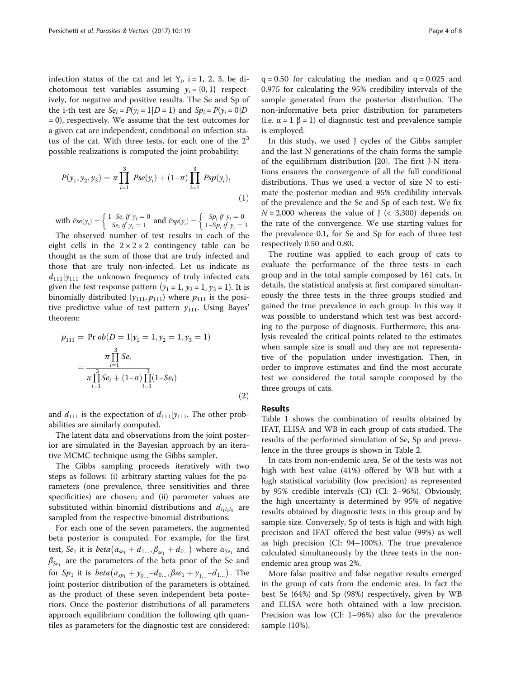infection status of the cat and let  $Y_i$ , i = 1, 2, 3, be dichotomous test variables assuming  $y_i = \{0, 1\}$  respectively, for negative and positive results. The Se and Sp of the i-th test are  $Se_i = P(y_i = 1|D = 1)$  and  $Sp_i = P(y_i = 0|D$ = 0), respectively. We assume that the test outcomes for a given cat are independent, conditional on infection status of the cat. With three tests, for each one of the  $2<sup>3</sup>$ possible realizations is computed the joint probability:

$$
P(y_1, y_2, y_3) = \pi \prod_{i=1}^{3} Pse(y_i) + (1-\pi) \prod_{i=1}^{3} Psp(y_i),
$$
\n(1)

with 
$$
Pse(y_i) = \begin{cases} 1-Se_i \text{ if } y_i = 0 \\ Se_i \text{ if } y_i = 1 \end{cases}
$$
 and  $Psp(y_i) = \begin{cases} Sp_i \text{ if } y_i = 0 \\ 1-Sp_i \text{ if } y_i = 1 \end{cases}$ 

The observed number of test results in each of the eight cells in the  $2 \times 2 \times 2$  contingency table can be thought as the sum of those that are truly infected and those that are truly non-infected. Let us indicate as  $d_{111}|y_{111}$  the unknown frequency of truly infected cats given the test response pattern  $(y_1 = 1, y_2 = 1, y_3 = 1)$ . It is binomially distributed  $(y_{111}, p_{111})$  where  $p_{111}$  is the positive predictive value of test pattern  $y_{111}$ . Using Bayes' theorem:

$$
p_{111} = \Pr ob(D = 1 | y_1 = 1, y_2 = 1, y_3 = 1)
$$

$$
= \frac{\pi \prod_{i=1}^{3} Se_i}{\pi \prod_{i=1}^{3} Se_i + (1-\pi) \prod_{i=1}^{3} (1-Se_i)}
$$
(2)

and  $d_{111}$  is the expectation of  $d_{111}|y_{111}$ . The other probabilities are similarly computed.

The latent data and observations from the joint posterior are simulated in the Bayesian approach by an iterative MCMC technique using the Gibbs sampler.

The Gibbs sampling proceeds iteratively with two steps as follows: (i) arbitrary starting values for the parameters (one prevalence, three sensitivities and three specificities) are chosen; and (ii) parameter values are substituted within binomial distributions and  $d_{i_1i_2i_3}$  are sampled from the respective binomial distributions.

For each one of the seven parameters, the augmented beta posterior is computed. For example, for the first test,  $Se_1$  it is  $beta(\alpha_{se_1} + d_{1...}, \beta_{se_1} + d_{0...})$  where  $\alpha_{Se_1}$  and  $\beta_{Se_1}$  are the parameters of the beta prior of the Se and for  $Sp_1$  it is  $beta(\alpha_{sp_1} + y_{0...} - d_{0...}, \beta se_1 + y_{1...} - d_{1...}).$  The joint posterior distribution of the parameters is obtained as the product of these seven independent beta posteriors. Once the posterior distributions of all parameters approach equilibrium condition the following qth quantiles as parameters for the diagnostic test are considered:

 $q = 0.50$  for calculating the median and  $q = 0.025$  and 0.975 for calculating the 95% credibility intervals of the sample generated from the posterior distribution. The non-informative beta prior distribution for parameters (i.e.  $\alpha = 1 \beta = 1$ ) of diagnostic test and prevalence sample is employed.

In this study, we used J cycles of the Gibbs sampler and the last N generations of the chain forms the sample of the equilibrium distribution [[20](#page-6-0)]. The first J-N iterations ensures the convergence of all the full conditional distributions. Thus we used a vector of size N to estimate the posterior median and 95% credibility intervals of the prevalence and the Se and Sp of each test. We fix  $N = 2,000$  whereas the value of J (< 3,300) depends on the rate of the convergence. We use starting values for the prevalence 0.1, for Se and Sp for each of three test respectively 0.50 and 0.80.

The routine was applied to each group of cats to evaluate the performance of the three tests in each group and in the total sample composed by 161 cats. In details, the statistical analysis at first compared simultaneously the three tests in the three groups studied and gained the true prevalence in each group. In this way it was possible to understand which test was best according to the purpose of diagnosis. Furthermore, this analysis revealed the critical points related to the estimates when sample size is small and they are not representative of the population under investigation. Then, in order to improve estimates and find the most accurate test we considered the total sample composed by the three groups of cats.

### Results

Table [1](#page-4-0) shows the combination of results obtained by IFAT, ELISA and WB in each group of cats studied. The results of the performed simulation of Se, Sp and prevalence in the three groups is shown in Table [2.](#page-4-0)

In cats from non-endemic area, Se of the tests was not high with best value (41%) offered by WB but with a high statistical variability (low precision) as represented by 95% credible intervals (CI) (CI: 2–96%). Obviously, the high uncertainty is determined by 95% of negative results obtained by diagnostic tests in this group and by sample size. Conversely, Sp of tests is high and with high precision and IFAT offered the best value (99%) as well as high precision (CI: 94–100%). The true prevalence calculated simultaneously by the three tests in the nonendemic area group was 2%.

More false positive and false negative results emerged in the group of cats from the endemic area. In fact the best Se (64%) and Sp (98%) respectively, given by WB and ELISA were both obtained with a low precision. Precision was low (CI: 1–96%) also for the prevalence sample (10%).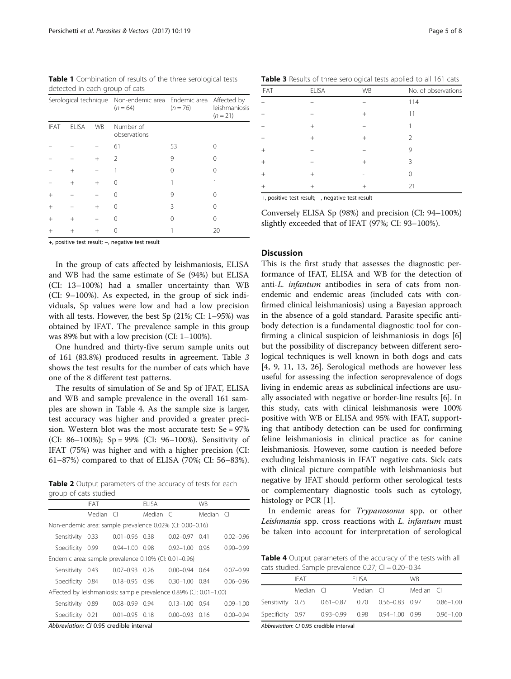<span id="page-4-0"></span>Table 1 Combination of results of the three serological tests detected in each group of cats

| Serological technique |              |           | Non-endemic area Endemic area<br>$(n = 64)$ | $(n = 76)$ | Affected by<br>leishmaniosis<br>$(n = 21)$ |  |
|-----------------------|--------------|-----------|---------------------------------------------|------------|--------------------------------------------|--|
| <b>IFAT</b>           | <b>ELISA</b> | <b>WB</b> | Number of<br>observations                   |            |                                            |  |
|                       |              |           | 61                                          | 53         | ( )                                        |  |
|                       |              | $^{+}$    | $\mathcal{L}$                               | 9          | Ω                                          |  |
|                       | $^+$         |           |                                             | 0          |                                            |  |
|                       | $^{+}$       | $^{+}$    |                                             |            |                                            |  |
| $^{+}$                |              |           |                                             | 9          | ( )                                        |  |
| $^{+}$                |              | $^{+}$    |                                             | 3          | Ω                                          |  |
| $^{+}$                | $^{+}$       |           |                                             | Ω          | Λ                                          |  |
| $^{+}$                |              |           |                                             |            | 20                                         |  |

+, positive test result; −, negative test result

In the group of cats affected by leishmaniosis, ELISA and WB had the same estimate of Se (94%) but ELISA (CI: 13–100%) had a smaller uncertainty than WB (CI: 9–100%). As expected, in the group of sick individuals, Sp values were low and had a low precision with all tests. However, the best Sp (21%; CI: 1–95%) was obtained by IFAT. The prevalence sample in this group was 89% but with a low precision (CI: 1–100%).

One hundred and thirty-five serum sample units out of 161 (83.8%) produced results in agreement. Table 3 shows the test results for the number of cats which have one of the 8 different test patterns.

The results of simulation of Se and Sp of IFAT, ELISA and WB and sample prevalence in the overall 161 samples are shown in Table 4. As the sample size is larger, test accuracy was higher and provided a greater precision. Western blot was the most accurate test: Se = 97% (CI: 86–100%); Sp = 99% (CI: 96–100%). Sensitivity of IFAT (75%) was higher and with a higher precision (CI: 61–87%) compared to that of ELISA (70%; CI: 56–83%).

Table 2 Output parameters of the accuracy of tests for each group of cats studied

|                                                                    | IFAT      |                    | <b>ELISA</b> |                      | WB        |               |
|--------------------------------------------------------------------|-----------|--------------------|--------------|----------------------|-----------|---------------|
|                                                                    | Median Cl |                    | Median Cl    |                      | Median Cl |               |
| Non-endemic area: sample prevalence 0.02% (CI: 0.00-0.16)          |           |                    |              |                      |           |               |
| Sensitivity                                                        | 0.33      | $0.01 - 0.96$ 0.38 |              | $0.02 - 0.97$        | 0.41      | $0.02 - 0.96$ |
| Specificity 0.99                                                   |           | $0.94 - 1.00$ 0.98 |              | $0.92 - 1.00$ 0.96   |           | $0.90 - 0.99$ |
| Endemic area: sample prevalence 0.10% (CI: 0.01-0.96)              |           |                    |              |                      |           |               |
| Sensitivity                                                        | 0.43      | $0.07 - 0.93$ 0.26 |              | $0.00 - 0.94$ 0.64   |           | $0.07 - 0.99$ |
| Specificity 0.84                                                   |           | $0.18 - 0.95$ 0.98 |              | $0.30 - 1.00$ $0.84$ |           | $0.06 - 0.96$ |
| Affected by leishmaniosis: sample prevalence 0.89% (CI: 0.01-1.00) |           |                    |              |                      |           |               |
| Sensitivity                                                        | 0.89      | $0.08 - 0.99$      | 0.94         | $0.13 - 1.00$        | O 94      | $0.09 - 1.00$ |
| Specificity                                                        | 0.21      | $0.01 - 0.95$ 0.18 |              | $0.00 - 0.93$ 0.16   |           | $0.00 - 0.94$ |
|                                                                    |           |                    |              |                      |           |               |

Abbreviation: CI 0.95 credible interval

Table 3 Results of three serological tests applied to all 161 cats

| ELISA  | WB     | No. of observations |
|--------|--------|---------------------|
|        |        | 114                 |
|        | $^{+}$ | 11                  |
| $+$    |        |                     |
| $^{+}$ | $^{+}$ | $\mathfrak{D}$      |
|        |        | 9                   |
|        | $^{+}$ | 3                   |
| $^{+}$ |        | $\cap$              |
| $^{+}$ | $^{+}$ | 21                  |
|        |        |                     |

+, positive test result; −, negative test result

Conversely ELISA Sp (98%) and precision (CI: 94–100%) slightly exceeded that of IFAT (97%; CI: 93–100%).

### **Discussion**

This is the first study that assesses the diagnostic performance of IFAT, ELISA and WB for the detection of anti-L. infantum antibodies in sera of cats from nonendemic and endemic areas (included cats with confirmed clinical leishmaniosis) using a Bayesian approach in the absence of a gold standard. Parasite specific antibody detection is a fundamental diagnostic tool for confirming a clinical suspicion of leishmaniosis in dogs [\[6](#page-6-0)] but the possibility of discrepancy between different serological techniques is well known in both dogs and cats [[4, 9, 11, 13,](#page-6-0) [26\]](#page-7-0). Serological methods are however less useful for assessing the infection seroprevalence of dogs living in endemic areas as subclinical infections are usually associated with negative or border-line results [[6\]](#page-6-0). In this study, cats with clinical leishmanosis were 100% positive with WB or ELISA and 95% with IFAT, supporting that antibody detection can be used for confirming feline leishmaniosis in clinical practice as for canine leishmaniosis. However, some caution is needed before excluding leishmaniosis in IFAT negative cats. Sick cats with clinical picture compatible with leishmaniosis but negative by IFAT should perform other serological tests or complementary diagnostic tools such as cytology, histology or PCR [[1](#page-6-0)].

In endemic areas for Trypanosoma spp. or other Leishmania spp. cross reactions with L. infantum must be taken into account for interpretation of serological

Table 4 Output parameters of the accuracy of the tests with all cats studied. Sample prevalence  $0.27$ ; CI =  $0.20 - 0.34$ 

|                  | IFAT      |                                                        | FI ISA    |                                           | <b>WR</b> |               |
|------------------|-----------|--------------------------------------------------------|-----------|-------------------------------------------|-----------|---------------|
|                  | Median CL |                                                        | Median CI |                                           | Median Cl |               |
|                  |           | Sensitivity 0.75   0.61-0.87   0.70   0.56-0.83   0.97 |           |                                           |           | $0.86 - 1.00$ |
| Specificity 0.97 |           |                                                        |           | $0.93 - 0.99$ $0.98$ $0.94 - 1.00$ $0.99$ |           | $0.96 - 1.00$ |

Abbreviation: CI 0.95 credible interval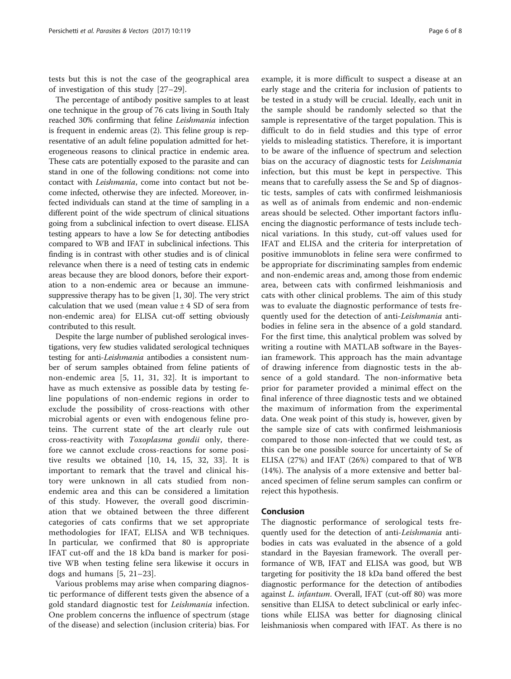tests but this is not the case of the geographical area of investigation of this study [\[27](#page-7-0)–[29](#page-7-0)].

The percentage of antibody positive samples to at least one technique in the group of 76 cats living in South Italy reached 30% confirming that feline Leishmania infection is frequent in endemic areas (2). This feline group is representative of an adult feline population admitted for heterogeneous reasons to clinical practice in endemic area. These cats are potentially exposed to the parasite and can stand in one of the following conditions: not come into contact with Leishmania, come into contact but not become infected, otherwise they are infected. Moreover, infected individuals can stand at the time of sampling in a different point of the wide spectrum of clinical situations going from a subclinical infection to overt disease. ELISA testing appears to have a low Se for detecting antibodies compared to WB and IFAT in subclinical infections. This finding is in contrast with other studies and is of clinical relevance when there is a need of testing cats in endemic areas because they are blood donors, before their exportation to a non-endemic area or because an immunesuppressive therapy has to be given [\[1](#page-6-0), [30\]](#page-7-0). The very strict calculation that we used (mean value  $\pm$  4 SD of sera from non-endemic area) for ELISA cut-off setting obviously contributed to this result.

Despite the large number of published serological investigations, very few studies validated serological techniques testing for anti-Leishmania antibodies a consistent number of serum samples obtained from feline patients of non-endemic area [[5, 11](#page-6-0), [31](#page-7-0), [32\]](#page-7-0). It is important to have as much extensive as possible data by testing feline populations of non-endemic regions in order to exclude the possibility of cross-reactions with other microbial agents or even with endogenous feline proteins. The current state of the art clearly rule out cross-reactivity with Toxoplasma gondii only, therefore we cannot exclude cross-reactions for some positive results we obtained [[10](#page-6-0), [14, 15](#page-6-0), [32, 33](#page-7-0)]. It is important to remark that the travel and clinical history were unknown in all cats studied from nonendemic area and this can be considered a limitation of this study. However, the overall good discrimination that we obtained between the three different categories of cats confirms that we set appropriate methodologies for IFAT, ELISA and WB techniques. In particular, we confirmed that 80 is appropriate IFAT cut-off and the 18 kDa band is marker for positive WB when testing feline sera likewise it occurs in dogs and humans [\[5](#page-6-0), [21](#page-6-0)–[23](#page-7-0)].

Various problems may arise when comparing diagnostic performance of different tests given the absence of a gold standard diagnostic test for Leishmania infection. One problem concerns the influence of spectrum (stage of the disease) and selection (inclusion criteria) bias. For example, it is more difficult to suspect a disease at an early stage and the criteria for inclusion of patients to be tested in a study will be crucial. Ideally, each unit in the sample should be randomly selected so that the sample is representative of the target population. This is difficult to do in field studies and this type of error yields to misleading statistics. Therefore, it is important to be aware of the influence of spectrum and selection bias on the accuracy of diagnostic tests for Leishmania infection, but this must be kept in perspective. This means that to carefully assess the Se and Sp of diagnostic tests, samples of cats with confirmed leishmaniosis as well as of animals from endemic and non-endemic areas should be selected. Other important factors influencing the diagnostic performance of tests include technical variations. In this study, cut-off values used for IFAT and ELISA and the criteria for interpretation of positive immunoblots in feline sera were confirmed to be appropriate for discriminating samples from endemic and non-endemic areas and, among those from endemic area, between cats with confirmed leishmaniosis and cats with other clinical problems. The aim of this study was to evaluate the diagnostic performance of tests frequently used for the detection of anti-Leishmania antibodies in feline sera in the absence of a gold standard. For the first time, this analytical problem was solved by writing a routine with MATLAB software in the Bayesian framework. This approach has the main advantage of drawing inference from diagnostic tests in the absence of a gold standard. The non-informative beta prior for parameter provided a minimal effect on the final inference of three diagnostic tests and we obtained the maximum of information from the experimental data. One weak point of this study is, however, given by the sample size of cats with confirmed leishmaniosis compared to those non-infected that we could test, as this can be one possible source for uncertainty of Se of ELISA (27%) and IFAT (26%) compared to that of WB (14%). The analysis of a more extensive and better balanced specimen of feline serum samples can confirm or reject this hypothesis.

### Conclusion

The diagnostic performance of serological tests frequently used for the detection of anti-Leishmania antibodies in cats was evaluated in the absence of a gold standard in the Bayesian framework. The overall performance of WB, IFAT and ELISA was good, but WB targeting for positivity the 18 kDa band offered the best diagnostic performance for the detection of antibodies against L. infantum. Overall, IFAT (cut-off 80) was more sensitive than ELISA to detect subclinical or early infections while ELISA was better for diagnosing clinical leishmaniosis when compared with IFAT. As there is no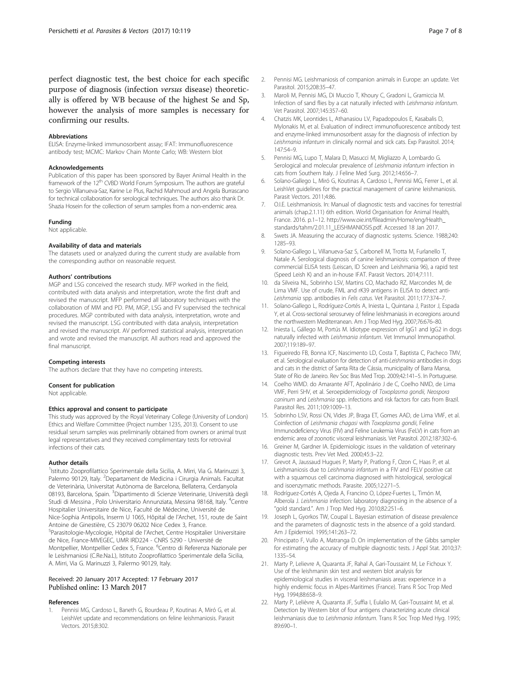<span id="page-6-0"></span>perfect diagnostic test, the best choice for each specific purpose of diagnosis (infection versus disease) theoretically is offered by WB because of the highest Se and Sp, however the analysis of more samples is necessary for confirming our results.

#### Abbreviations

ELISA: Enzyme-linked immunosorbent assay; IFAT: Immunofluorescence antibody test; MCMC: Markov Chain Monte Carlo; WB: Western blot

#### Acknowledgements

Publication of this paper has been sponsored by Bayer Animal Health in the framework of the 12<sup>th</sup> CVBD World Forum Symposium. The authors are grateful to Sergio Villanueva-Saz, Karine Le Plus, Rachid Mahmoud and Angela Burrascano for technical collaboration for serological techniques. The authors also thank Dr. Shazia Hosein for the collection of serum samples from a non-endemic area.

#### Funding

Not applicable.

### Availability of data and materials

The datasets used or analyzed during the current study are available from the corresponding author on reasonable request.

#### Authors' contributions

MGP and LSG conceived the research study. MFP worked in the field, contributed with data analysis and interpretation, wrote the first draft and revised the manuscript. MFP performed all laboratory techniques with the collaboration of MM and PD. PM, MGP, LSG and FV supervised the technical procedures. MGP contributed with data analysis, interpretation, wrote and revised the manuscript. LSG contributed with data analysis, interpretation and revised the manuscript. AV performed statistical analysis, interpretation and wrote and revised the manuscript. All authors read and approved the final manuscript.

#### Competing interests

The authors declare that they have no competing interests.

#### Consent for publication

Not applicable.

#### Ethics approval and consent to participate

This study was approved by the Royal Veterinary College (University of London) Ethics and Welfare Committee (Project number 1235, 2013). Consent to use residual serum samples was preliminarily obtained from owners or animal trust legal representatives and they received complimentary tests for retroviral infections of their cats.

#### Author details

<sup>1</sup>Istituto Zooprofilattico Sperimentale della Sicilia, A. Mirri, Via G. Marinuzzi 3, Palermo 90129, Italy. <sup>2</sup>Departament de Medicina i Cirurgia Animals. Facultat de Veterinària, Universitat Autònoma de Barcelona, Bellaterra, Cerdanyola 08193, Barcelona, Spain. <sup>3</sup>Dipartimento di Scienze Veterinarie, Università degli Studi di Messina , Polo Universitario Annunziata, Messina 98168, Italy. <sup>4</sup>Centre Hospitalier Universitaire de Nice, Faculté de Médecine, Université de Nice-Sophia Antipolis, Inserm U 1065, Hôpital de l'Archet, 151, route de Saint Antoine de Ginestière, CS 23079 06202 Nice Cedex 3, France. <sup>5</sup>Parasitologie-Mycologie, Hôpital de l'Archet, Centre Hospitalier Universitaire de Nice, France-MIVEGEC, UMR IRD224 - CNRS 5290 - Université de Montpellier, Montpellier Cedex 5, France. <sup>6</sup>Centro di Referenza Nazionale per le Leishmaniosi (C.Re.Na.L), Istituto Zooprofilattico Sperimentale della Sicilia, A. Mirri, Via G. Marinuzzi 3, Palermo 90129, Italy.

### Received: 20 January 2017 Accepted: 17 February 2017 Published online: 13 March 2017

#### References

Pennisi MG, Cardoso L, Baneth G, Bourdeau P, Koutinas A, Miró G, et al. LeishVet update and recommendations on feline leishmaniosis. Parasit Vectors. 2015;8:302.

- 2. Pennisi MG. Leishmaniosis of companion animals in Europe: an update. Vet Parasitol. 2015;208:35–47.
- 3. Maroli M, Pennisi MG, Di Muccio T, Khoury C, Gradoni L, Gramiccia M. Infection of sand flies by a cat naturally infected with Leishmania infantum. Vet Parasitol. 2007;145:357–60.
- 4. Chatzis MK, Leontides L, Athanasiou LV, Papadopoulos E, Kasabalis D, Mylonakis M, et al. Evaluation of indirect immunofluorescence antibody test and enzyme-linked immunosorbent assay for the diagnosis of infection by Leishmania infantum in clinically normal and sick cats. Exp Parasitol. 2014; 147:54–9.
- 5. Pennisi MG, Lupo T, Malara D, Masucci M, Migliazzo A, Lombardo G. Serological and molecular prevalence of Leishmania infantum infection in cats from Southern Italy. J Feline Med Surg. 2012;14:656–7.
- 6. Solano-Gallego L, Miró G, Koutinas A, Cardoso L, Pennisi MG, Ferrer L, et al. LeishVet guidelines for the practical management of canine leishmaniosis. Parasit Vectors. 2011;4:86.
- 7. O.I.E. Leishmaniosis. In: Manual of diagnostic tests and vaccines for terrestrial animals (chap.2.1.11) 6th edition. World Organisation for Animal Health, France. 2016. p.1–12. [http://www.oie.int/fileadmin/Home/eng/Health\\_](http://www.oie.int/fileadmin/Home/eng/Health_standards/tahm/2.01.11_LEISHMANIOSIS.pdf) [standards/tahm/2.01.11\\_LEISHMANIOSIS.pdf.](http://www.oie.int/fileadmin/Home/eng/Health_standards/tahm/2.01.11_LEISHMANIOSIS.pdf) Accessed 18 Jan 2017.
- 8. Swets JA. Measuring the accuracy of diagnostic systems. Science. 1988;240: 1285–93.
- 9. Solano-Gallego L, Villanueva-Saz S, Carbonell M, Trotta M, Furlanello T, Natale A. Serological diagnosis of canine leishmaniosis: comparison of three commercial ELISA tests (Leiscan, ID Screen and Leishmania 96), a rapid test (Speed Leish K) and an in-house IFAT. Parasit Vectors. 2014;7:111.
- 10. da Silveira NL, Sobrinho LSV, Martins CO, Machado RZ, Marcondes M, de Lima VMF. Use of crude, FML and rK39 antigens in ELISA to detect anti-Leishmania spp. antibodies in Felis catus. Vet Parasitol. 2011;177:374–7.
- 11. Solano-Gallego L, Rodríguez-Cortés A, Iniesta L, Quintana J, Pastor J, Espada Y, et al. Cross-sectional serosurvey of feline leishmaniasis in ecoregions around the northwestern Mediterranean. Am J Trop Med Hyg. 2007;76:676–80.
- 12. Iniesta L, Gállego M, Portús M. Idiotype expression of IgG1 and IgG2 in dogs naturally infected with Leishmania infantum. Vet Immunol Immunopathol. 2007;119:189–97.
- 13. Figueiredo FB, Bonna ICF, Nascimento LD, Costa T, Baptista C, Pacheco TMV, et al. Serological evaluation for detection of anti-Leishmania antibodies in dogs and cats in the district of Santa Rita de Cássia, municipality of Barra Mansa, State of Rio de Janeiro. Rev Soc Bras Med Trop. 2009;42:141–5. In Portuguese.
- 14. Coelho WMD. do Amarante AFT, Apolinário J de C, Coelho NMD, de Lima VMF, Perri SHV, et al. Seroepidemiology of Toxoplasma gondii, Neospora caninum and Leishmania spp. infections and risk factors for cats from Brazil. Parasitol Res. 2011;109:1009–13.
- 15. Sobrinho LSV, Rossi CN, Vides JP, Braga ET, Gomes AAD, de Lima VMF, et al. Coinfection of Leishmania chagasi with Toxoplasma gondii, Feline Immunodeficiency Virus (FIV) and Feline Leukemia Virus (FeLV) in cats from an endemic area of zoonotic visceral leishmaniasis. Vet Parasitol. 2012;187:302–6.
- 16. Greiner M, Gardner IA. Epidemiologic issues in the validation of veterinary diagnostic tests. Prev Vet Med. 2000;45:3–22.
- 17. Grevot A, Jaussaud Hugues P, Marty P, Pratlong F, Ozon C, Haas P, et al. Leishmaniosis due to Leishmania infantum in a FIV and FELV positive cat with a squamous cell carcinoma diagnosed with histological, serological and isoenzymatic methods. Parasite. 2005;12:271–5.
- 18. Rodríguez-Cortés A, Ojeda A, Francino O, López-Fuertes L, Timón M, Alberola J. Leishmania infection: laboratory diagnosing in the absence of a "gold standard.". Am J Trop Med Hyg. 2010;82:251–6.
- 19. Joseph L, Gyorkos TW, Coupal L. Bayesian estimation of disease prevalence and the parameters of diagnostic tests in the absence of a gold standard. Am J Epidemiol. 1995;141:263–72.
- 20. Principato F, Vullo A, Matranga D. On implementation of the Gibbs sampler for estimating the accuracy of multiple diagnostic tests. J Appl Stat. 2010;37: 1335–54.
- 21. Marty P, Lelievre A, Quaranta JF, Rahal A, Gari-Toussaint M, Le Fichoux Y. Use of the leishmanin skin test and western blot analysis for epidemiological studies in visceral leishmaniasis areas: experience in a highly endemic focus in Alpes-Maritimes (France). Trans R Soc Trop Med Hyg. 1994;88:658–9.
- 22. Marty P, Lelièvre A, Quaranta JF, Suffia I, Eulalio M, Gari-Toussaint M, et al. Detection by Western blot of four antigens characterizing acute clinical leishmaniasis due to Leishmania infantum. Trans R Soc Trop Med Hyg. 1995; 89:690–1.